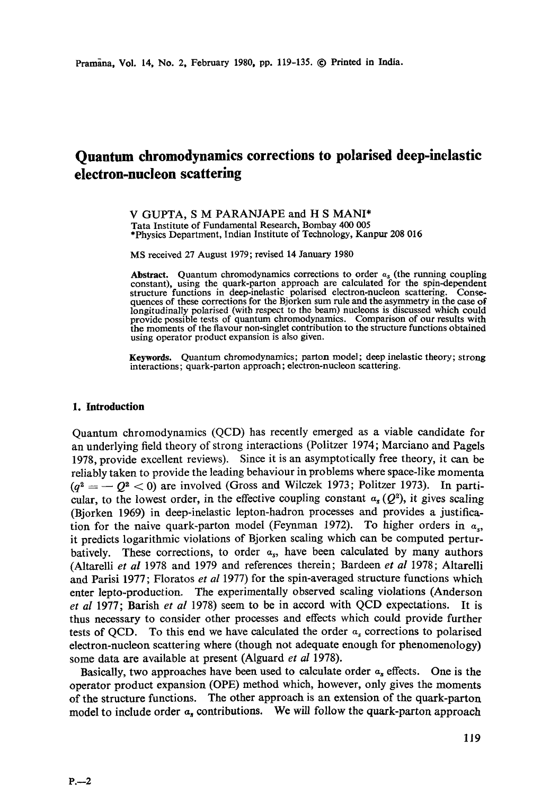# **Quantum chromodynamics corrections to polarised deep-inelastic electron-nucleon scattering**

V GUPTA, S M PARANJAPE and H S MANI\* Tata Institute of Fundamental Research, Bombay 400 005 \*Physics Department, Indian Institute of Technology, Kanpur 208 016

MS received 27 August 1979; revised 14 January 1980

**Abstract.** Quantum chromodynamics corrections to order *as* (the running coupling constant), using the quark-patton approach are calculated for the spin-dependent structure functions in deep-inelastic polarised electron-nucleon scattering. Consequences of these corrections for the Bjorken sum rule and the asymmetry in the case of longitudinally polarised (with respect to the beam) nucleons is discussed which could provide possible tests of quantum chromodynamics. Comparison of our results with the moments of the flavour non-singlet contribution to the structure functions obtained using operator product expansion is also given.

**Keywords.** Quantum chromodynamics; patton model; deep inelastic theory; strong interactions; quark-parton approach; electron-nucleon scattering.

# **1. Introduction**

Quantum chromodynamics (QCD) has recently emerged as a viable candidate for an underlying field theory of strong interactions (Politzer 1974; Marciano and Pagels 1978, provide excellent reviews). Since it is an asymptotically free theory, it can be reliably taken to provide the leading behaviour in problems where space-like momenta  $(q^2 = -Q^2 < 0)$  are involved (Gross and Wilczek 1973; Politzer 1973). In particular, to the lowest order, in the effective coupling constant  $\alpha_s(Q^2)$ , it gives scaling (Bjorken 1969) in deep-inelastic lepton-hadron processes and provides a justification for the naive quark-parton model (Feynman 1972). To higher orders in  $\alpha_{\rm st}$ it predicts logarithmic violations of Bjorken scaling which can be computed perturbatively. These corrections, to order  $a_s$ , have been calculated by many authors (Altarelli *et al* 1978 and 1979 and references therein; Bardeen *et al* 1978; Altarelli and Parisi 1977; Floratos *et al* 1977) for the spin-averaged structure functions which enter lepto-production. The experimentally observed scaling violations (Anderson *et al* 1977; Barish *et al* 1978) seem to be in accord with QCD expectations. It is thus necessary to consider other processes and effects which could provide further tests of QCD. To this end we have calculated the order  $a_s$  corrections to polarised electron-nucleon scattering where (though not adequate enough for phenomenology) some data are available at present (Alguard *et al* 1978).

Basically, two approaches have been used to calculate order  $a_s$  effects. One is the operator product expansion (OPE) method which, however, only gives the moments of the structure functions. The other approach is an extension of the quark-parton model to include order  $\alpha_s$  contributions. We will follow the quark-parton approach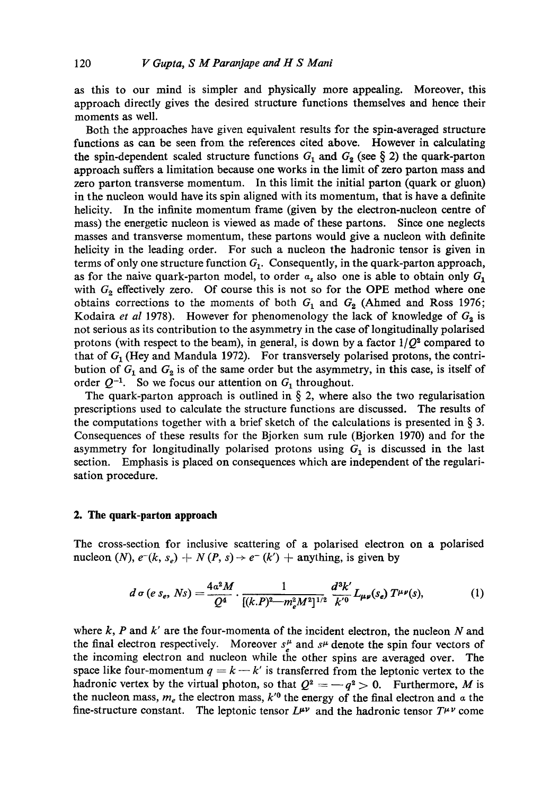as this to our mind is simpler and physically more appealing. Moreover, this approach directly gives the desired structure functions themselves and hence their moments as well.

Both the approaches have given equivalent results for the spin-averaged structure functions as can be seen from the references cited above. However in calculating the spin-dependent scaled structure functions  $G_1$  and  $G_2$  (see § 2) the quark-parton approach suffers a limitation because one works in the limit of zero patton mass and zero parton transverse momentum. In this limit the initial parton (quark or gluon) in the nucleon would have its spin aligned with its momentum, that is have a definite helicity. In the infinite momentum frame (given by the electron-nucleon centre of mass) the energetic nucleon is viewed as made of these partons. Since one neglects masses and transverse momentum, these partons would give a nucleon with definite helicity in the leading order. For such a nucleon the hadronic tensor is given in terms of only one structure function  $G_1$ . Consequently, in the quark-parton approach, as for the naive quark-parton model, to order  $a_s$  also one is able to obtain only  $G_1$ with  $G_2$  effectively zero. Of course this is not so for the OPE method where one obtains corrections to the moments of both  $G_1$  and  $G_2$  (Ahmed and Ross 1976; Kodaira *et al* 1978). However for phenomenology the lack of knowledge of  $G_2$  is not serious as its contribution to the asymmetry in the case of longitudinally polarised protons (with respect to the beam), in general, is down by a factor  $1/Q^2$  compared to that of  $G_1$  (Hey and Mandula 1972). For transversely polarised protons, the contribution of  $G_1$  and  $G_2$  is of the same order but the asymmetry, in this case, is itself of order  $Q^{-1}$ . So we focus our attention on  $G_1$  throughout.

The quark-parton approach is outlined in  $\S$  2, where also the two regularisation prescriptions used to calculate the structure functions are discussed. The results of the computations together with a brief sketch of the calculations is presented in  $\S$  3. Consequences of these results for the Bjorken sum rule (Bjorken 1970) and for the asymmetry for longitudinally polarised protons using  $G_1$  is discussed in the last section. Emphasis is placed on consequences which are independent of the regularisation procedure.

## **2. The quark-parton approach**

The cross-section for inclusive scattering of a polarised electron on a polarised nucleon (N),  $e^-(k, s_e) + N(P, s) \rightarrow e^-(k') + \text{anything, is given by}$ 

$$
d \sigma (e s_e, Ns) = \frac{4a^2 M}{Q^4} \cdot \frac{1}{[(k.P)^2 - m_e^2 M^2]^{1/2}} \frac{d^3 k'}{k'^0} L_{\mu\nu}(s_e) T^{\mu\nu}(s), \qquad (1)
$$

where  $k$ , P and  $k'$  are the four-momenta of the incident electron, the nucleon N and the final electron respectively. Moreover  $s<sup>\mu</sup>$  and  $s<sup>\mu</sup>$  denote the spin four vectors of the incoming electron and nucleon while the other spins are averaged over. The space like four-momentum  $q = k - k'$  is transferred from the leptonic vertex to the hadronic vertex by the virtual photon, so that  $Q^2 = -q^2 > 0$ . Furthermore, M is the nucleon mass,  $m_e$  the electron mass,  $k^{\prime 0}$  the energy of the final electron and  $\alpha$  the fine-structure constant. The leptonic tensor  $L^{\mu\nu}$  and the hadronic tensor  $T^{\mu\nu}$  come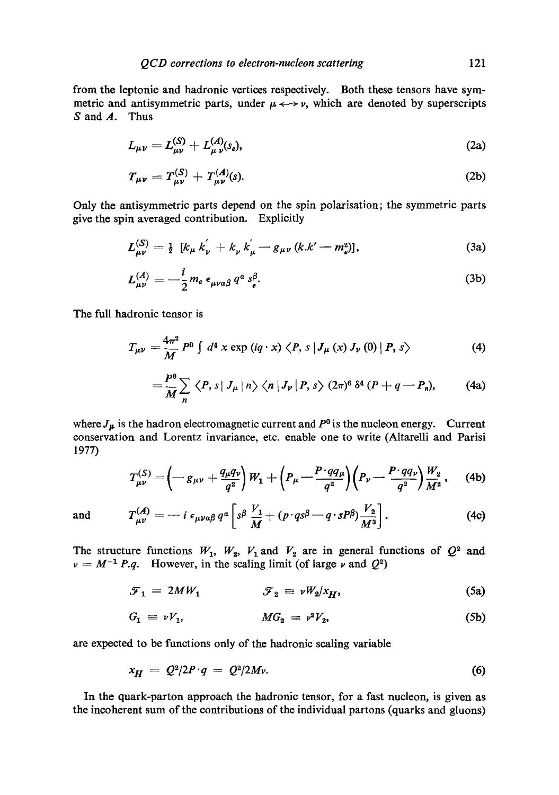from the leptonic and hadronie vertices respectively. Both these tensors have symmetric and antisymmetric parts, under  $\mu \leftrightarrow \nu$ , which are denoted by superscripts  $S$  and  $A$ . Thus

$$
L_{\mu\nu} = L_{\mu\nu}^{(S)} + L_{\mu\nu}^{(A)}(s_e),
$$
 (2a)

$$
T_{\mu\nu} = T_{\mu\nu}^{(S)} + T_{\mu\nu}^{(A)}(s).
$$
 (2b)

Only the antisymmetric parts depend on the spin polaxisation; the symmetric parts give the spin averaged contribution. Explicitly

$$
L_{\mu\nu}^{(S)} = \frac{1}{2} \left[ k_{\mu} k_{\nu}^{'} + k_{\nu} k_{\mu}^{'} - g_{\mu\nu} (k.k' - m_e^2) \right], \tag{3a}
$$

$$
L_{\mu\nu}^{(A)} = -\frac{i}{2} m_e \epsilon_{\mu\nu a\beta} q^a s_e^{\beta}.
$$
 (3b)

The full hadronic tensor is

$$
T_{\mu\nu} = \frac{4\pi^2}{M} P^0 \int d^4 x \exp(iq \cdot x) \langle P, s | J_\mu(x) J_\nu(0) | P, s \rangle \tag{4}
$$

$$
= \frac{P^{\theta}}{M} \sum_{n} \langle P, s | J_{\mu} | n \rangle \langle n | J_{\nu} | P, s \rangle (2\pi)^{\theta} \delta^{4} (P + q - P_{n}), \qquad (4a)
$$

where  $J_{\mu}$  is the hadron electromagnetic current and  $P^0$  is the nucleon energy. Current conservation and Lorentz invariance, etc. enable one to write (Altarelli and Parisi 1977)

$$
T_{\mu\nu}^{(S)} = \left(-g_{\mu\nu} + \frac{q_{\mu}q_{\nu}}{q^2}\right)W_1 + \left(P_{\mu} - \frac{P \cdot qq_{\mu}}{q^2}\right)\left(P_{\nu} - \frac{P \cdot qq_{\nu}}{q^2}\right)\frac{W_2}{M^2}, \quad (4b)
$$

and 
$$
T_{\mu\nu}^{(A)} = -i \epsilon_{\mu\nu\alpha\beta} q^{\alpha} \left[ s^{\beta} \frac{V_1}{M} + (p \cdot qs^{\beta} - q \cdot sP^{\beta}) \frac{V_2}{M^3} \right].
$$
 (4c)

The structure functions  $W_1$ ,  $W_2$ ,  $V_1$  and  $V_2$  are in general functions of  $Q^2$  and  $\nu = M^{-1} P.q.$  However, in the scaling limit (of large  $\nu$  and  $Q^2$ )

$$
\mathcal{F}_1 = 2MW_1 \qquad \qquad \mathcal{F}_2 = \nu W_2 / x_H, \tag{5a}
$$

$$
G_1 = \nu V_1, \qquad \qquad MG_2 = \nu^2 V_2, \qquad (5b)
$$

are expected to be functions only of the hadronie sealing variable

$$
x_H = Q^2/2P \cdot q = Q^2/2M\nu. \tag{6}
$$

In the quark-patton approach the hadronic tensor, for a fast nucleon, is given as the incoherent sum of the contributions of the individual partons (quarks and gluons)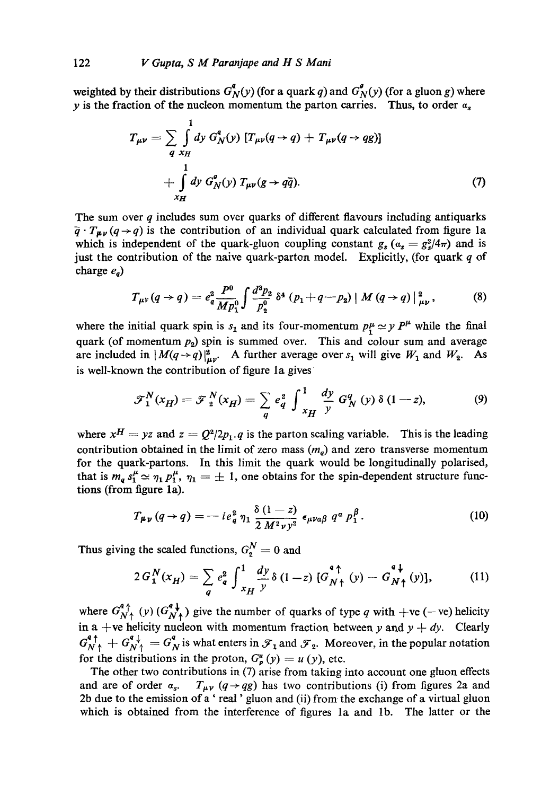weighted by their distributions  $G^q_N(y)$  (for a quark q) and  $G^q_N(y)$  (for a gluon g) where y is the fraction of the nucleon momentum the parton carries. Thus, to order  $a_s$ 

$$
T_{\mu\nu} = \sum_{q} \int_{\mathcal{H}} d y \ G_N^q(y) \ [T_{\mu\nu}(q \to q) + T_{\mu\nu}(q \to qg)]
$$
  
+ 
$$
\int_{\mathcal{H}} d y \ G_N^q(y) \ T_{\mu\nu}(g \to q\bar{q}). \tag{7}
$$

The sum over  $q$  includes sum over quarks of different flavours including antiquarks  $\overline{q} \cdot T_{\mu\nu}(q \rightarrow q)$  is the contribution of an individual quark calculated from figure 1a which is independent of the quark-gluon coupling constant  $g_s (a_s = g_s^2/4\pi)$  and is just the contribution of the naive quark-parton model. Explicitly, (for quark  $q$  of charge  $e_a$ )

$$
T_{\mu\nu}(q \to q) = e_q^2 \frac{P^0}{Mp_1^0} \int \frac{d^3p_2}{p_2^0} \, \delta^4 \, (p_1 + q - p_2) \, | \, M \, (q \to q) \, |_{\mu\nu}^2 \,, \tag{8}
$$

where the initial quark spin is  $s_1$  and its four-momentum  $p^{\mu}_1 \simeq y P^{\mu}$  while the final quark (of momentum  $p_2$ ) spin is summed over. This and colour sum and average are included in  $|M(q \rightarrow q)|_{\mu\nu}^2$ . A further average over  $s_1$  will give  $W_1$  and  $W_2$ . As is well-known the contribution of figure la gives

$$
\mathcal{F}_1^N(x_H) = \mathcal{F}_2^N(x_H) = \sum_q e_q^2 \int_{x_H}^1 \frac{dy}{y} G_N^q(y) \delta(1-z), \tag{9}
$$

where  $x^H = yz$  and  $z = Q^2/2p_1$ . q is the parton scaling variable. This is the leading contribution obtained in the limit of zero mass  $(m_q)$  and zero transverse momentum for the quark-partons. In this limit the quark would be longitudinally polarised, that is  $m_q s_1^{\mu} \simeq \eta_1 p_1^{\mu}$ ,  $\eta_1 = \pm 1$ , one obtains for the spin-dependent structure functions (from figure la).

$$
T_{\mu\nu}(q \to q) = -ie^2_q \eta_1 \frac{\delta(1-z)}{2 M^2 \nu y^2} \epsilon_{\mu\nu\alpha\beta} q^a p_1^{\beta}. \tag{10}
$$

Thus giving the scaled functions,  $G_2^N = 0$  and

$$
2 G_1^N(x_H) = \sum_q e_q^2 \int_{x_H}^1 \frac{dy}{y} \delta(1-z) \left[ G_{N\uparrow}^{\text{4}\uparrow}(y) - G_{N\uparrow}^{\text{4}\downarrow}(y) \right], \tag{11}
$$

where  $G_{N^*}^{+}(y)$  ( $G_{N^*}^{+}(y)$  give the number of quarks of type q with  $+ve$  (-ve) helicity in a +ve helicity nucleon with momentum fraction between *y* and  $y + dy$ . Clearly  $G_{N}^{a}{}_{\uparrow}^{\dagger} + G_{N}^{a}{}_{\uparrow}^{\dagger} = G_{N}^{a}$  is what enters in  $\mathcal{F}_{1}$  and  $\mathcal{F}_{2}$ . Moreover, in the popular notation for the distributions in the proton,  $G_{p}^{u}(y) = u(y)$ , etc.

The other two contributions in (7) arise from taking into account one gluon effects and are of order  $a_s$ .  $T_{\mu\nu}$  (q  $\rightarrow$  qg) has two contributions (i) from figures 2a and 2b due to the emission of a' real' gluon and (ii) from the exchange of a virtual gluon which is obtained from the interference of figures la and lb. The latter or the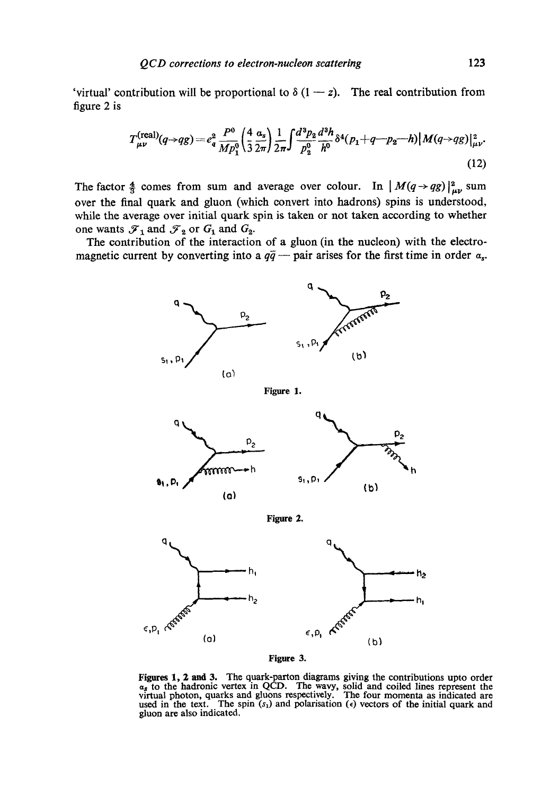'virtual' contribution will be proportional to  $\delta(1-z)$ . The real contribution from figure 2 is

$$
T_{\mu\nu}^{(\text{real})}(q \to qg) = e_q^2 \frac{P^0}{Mp_1^0} \left(\frac{4}{3} \frac{a_s}{2\pi}\right) \frac{1}{2\pi} \int \frac{d^3 p_2}{p_2^0} \frac{d^3 h}{h^0} \delta^4(p_1 + q - p_2 - h) |M(q \to qg)|_{\mu\nu}^2.
$$
\n(12)

The factor  $\frac{4}{3}$  comes from sum and average over colour. In  $|M(q \rightarrow qg)|_{up}^2$  sum over the final quark and gluon (which convert into hadrons) spins is understood, while the average over initial quark spin is taken or not taken according to whether one wants  $\mathcal{F}_1$  and  $\mathcal{F}_2$  or  $G_1$  and  $G_2$ .

The contribution of the interaction of a gluon (in the nucleon) with the electromagnetic current by converting into a  $q\bar{q}$  - pair arises for the first time in order  $a_s$ .



**Figure 1.** 



**Figure 2.** 



**Figure 3.** 

Figures 1, 2 and 3. The quark-parton diagrams giving the contributions upto order  $\alpha_s$  to the hadronic vertex in QCD. The wavy, solid and coiled lines represent the virtual photon, quarks and gluons respectively. The four momenta as indicated are used in the text. The spin  $(s_1)$  and polarisation ( $\epsilon$ ) vectors of the initial quark and gluon are also indicated.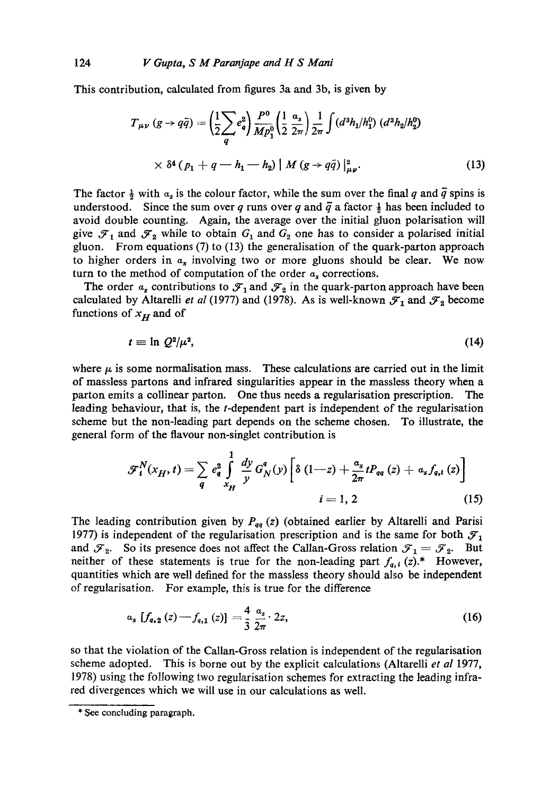This contribution, calculated from figures 3a and 3b, is given by

$$
T_{\mu\nu} (g \to q\bar{q}) = \left(\frac{1}{2} \sum_{q} e_{q}^{2}\right) \frac{P^{0}}{Mp_{1}^{0}} \left(\frac{1}{2} \frac{\alpha_{s}}{2\pi}\right) \frac{1}{2\pi} \int (d^{3}h_{1}/h_{1}^{0}) (d^{3}h_{2}/h_{2}^{0})
$$
  
 
$$
\times \delta^{4} (p_{1} + q - h_{1} - h_{2}) | M (g \to q\bar{q}) |_{\mu\nu}^{2}.
$$
 (13)

The factor  $\frac{1}{2}$  with  $\alpha_s$  is the colour factor, while the sum over the final q and  $\overline{q}$  spins is understood. Since the sum over q runs over q and  $\bar{q}$  a factor  $\frac{1}{2}$  has been included to avoid double counting. Again, the average over the initial gluon polarisation will give  $\mathcal{F}_1$  and  $\mathcal{F}_2$  while to obtain  $G_1$  and  $G_2$  one has to consider a polarised initial gluon. From equations (7) to (13) the generalisation of the quark-parton approach to higher orders in  $\alpha_s$  involving two or more gluons should be clear. We now turn to the method of computation of the order  $a_s$  corrections.

The order  $a_s$  contributions to  $\mathcal{F}_1$  and  $\mathcal{F}_2$  in the quark-parton approach have been calculated by Altarelli *et al* (1977) and (1978). As is well-known  $\mathcal{F}_1$  and  $\mathcal{F}_2$  become functions of  $x_H$  and of

$$
t = \ln \mathcal{Q}^2/\mu^2,\tag{14}
$$

where  $\mu$  is some normalisation mass. These calculations are carried out in the limit of massless partons and infrared singularities appear in the massless theory when a parton emits a collinear parton. One thus needs a regularisation prescription. The leading behaviour, that is, the t-dependent part is independent of the regularisation scheme but the non-leading part depends on the scheme chosen. To illustrate, the general form of the flavour non-singlet contribution is

$$
\mathcal{F}_{i}^{N}(x_{H}, t) = \sum_{q} e_{q}^{2} \int_{x_{H}}^{1} \frac{dy}{y} G_{N}^{q}(y) \left[ \delta (1 - z) + \frac{\alpha_{s}}{2\pi} t P_{qq}(z) + \alpha_{s} f_{q,i}(z) \right]
$$
  
  $i = 1, 2$  (15)

The leading contribution given by  $P_{qq}$  (z) (obtained earlier by Altarelli and Parisi 1977) is independent of the regularisation prescription and is the same for both  $\mathcal{F}_1$ and  $\mathcal{F}_2$ . So its presence does not affect the Callan-Gross relation  $\mathcal{F}_1 = \mathcal{F}_2$ . But neither of these statements is true for the non-leading part  $f_{q,i}(z)$ .\* However, quantities which are well defined for the massless theory should also be independent of regularisation. For example, this is true for the difference

$$
a_{s} [f_{q,2}(z) - f_{q,1}(z)] = \frac{4}{3} \frac{a_{s}}{2\pi} 2z,
$$
\n(16)

so that the violation of the Callan-Gross relation is independent of the regularisation scheme adopted. This is borne out by the explicit calculations (Altarelli *et al* 1977, 1978) using the following two regularisation schemes for extracting the leading infrared divergences which we will use in our calculations as well.

<sup>\*</sup> See concluding paragraph.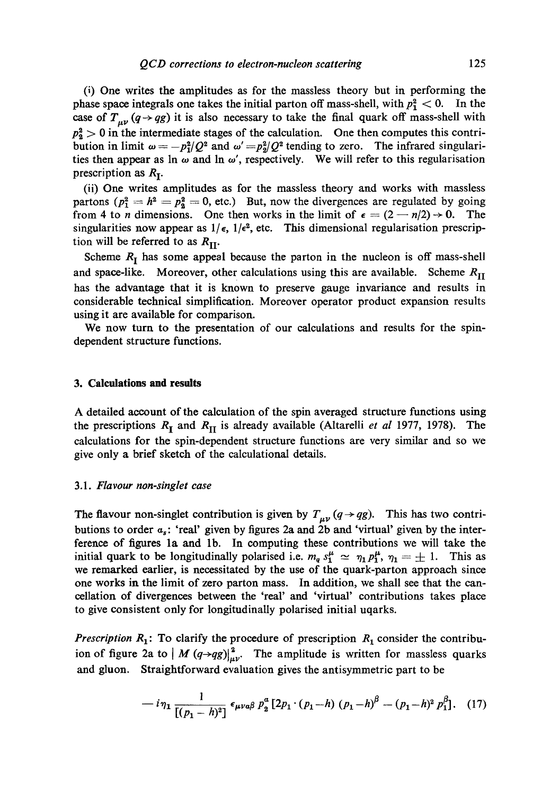(i) One writes the amplitudes as for the massless theory but in performing the phase space integrals one takes the initial parton off mass-shell, with  $p_1^2 < 0$ . In the case of  $T_{\mu\nu}$  (q  $\rightarrow$  qg) it is also necessary to take the final quark off mass-shell with  $p_2^2 > 0$  in the intermediate stages of the calculation. One then computes this contribution in limit  $\omega = -p_1^2/Q^2$  and  $\omega' = p_2^2/Q^2$  tending to zero. The infrared singularities then appear as  $\ln \omega$  and  $\ln \omega'$ , respectively. We will refer to this regularisation prescription as  $R_I$ .

(ii) One writes amplitudes as for the massless theory and works with massless partons  $(p_1^2 = h^2 = p_2^2 = 0$ , etc.) But, now the divergences are regulated by going from 4 to *n* dimensions. One then works in the limit of  $\epsilon = (2 - n/2) \rightarrow 0$ . The singularities now appear as  $1/\epsilon$ ,  $1/\epsilon^2$ , etc. This dimensional regularisation prescription will be referred to as  $R_{\text{II}}$ .

Scheme  $R_I$  has some appeal because the parton in the nucleon is off mass-shell and space-like. Moreover, other calculations using this are available. Scheme  $R_{\text{II}}$ has the advantage that it is known to preserve gauge invariance and results in considerable technical simplification. Moreover operator product expansion results using it are available for comparison.

We now turn to the presentation of our calculations and results for the spindependent structure functions.

#### **3. Calculations and results**

A detailed account of the calculation of the spin averaged structure functions using the prescriptions  $R_I$  and  $R_{II}$  is already available (Altarelli *et al* 1977, 1978). The calculations for the spin-dependent structure functions are very similar and so we give only a brief sketch of the calculational details.

#### 3.1. *Flavour non-singlet case*

The flavour non-singlet contribution is given by  $T_{\mu\nu}$  ( $q \rightarrow qg$ ). This has two contributions to order  $a_s$ : 'real' given by figures 2a and 2b and 'virtual' given by the interference of figures la and lb. In computing these contributions we will take the initial quark to be longitudinally polarised i.e.  $m_q s_1^{\mu} \simeq \eta_1 p_1^{\mu}, \eta_1 = \pm 1$ . This as we remarked earlier, is necessitated by the use of the quark-patton approach since one works in the limit of zero parton mass. In addition, we shall see that the cancellation of divergences between the 'real' and 'virtual' contributions takes place to give consistent only for longitudinally polarised initial uqarks.

*Prescription*  $R_1$ : To clarify the procedure of prescription  $R_1$  consider the contribuion of figure 2a to  $/M (q \rightarrow qg)|_{\mu\nu}^2$ . The amplitude is written for massless quarks and gluon. Straightforward evaluation gives the antisymmetric part to be

$$
-i\eta_1 \frac{1}{[(p_1 - h)^2]} \epsilon_{\mu\nu a\beta} p_2^a [2p_1 \cdot (p_1 - h) (p_1 - h)^{\beta} - (p_1 - h)^2 p_1^{\beta}]. \quad (17)
$$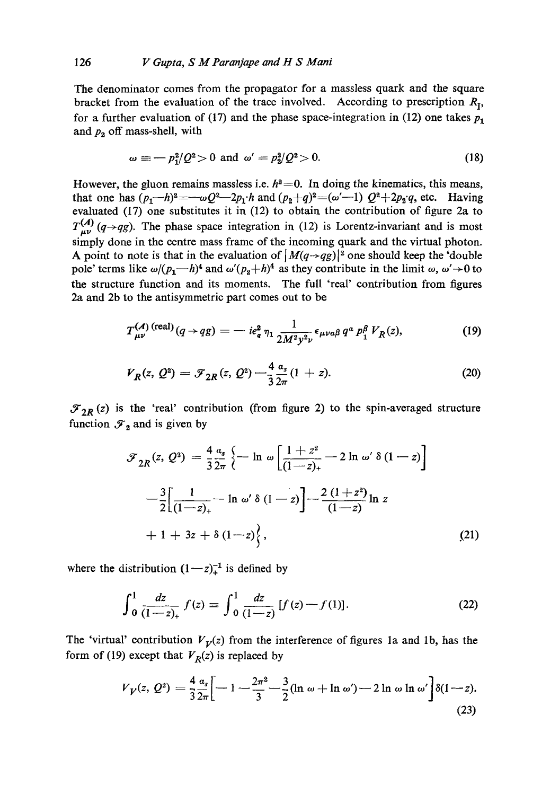The denominator comes from the propagator for a massless quark and the square bracket from the evaluation of the trace involved. According to prescription  $R_1$ , for a further evaluation of (17) and the phase space-integration in (12) one takes  $p_1$ and  $p_2$  off mass-shell, with

$$
\omega \equiv -p_1^2/Q^2 > 0 \text{ and } \omega' = p_2^2/Q^2 > 0. \tag{18}
$$

However, the gluon remains massless i.e.  $h^2=0$ . In doing the kinematics, this means, that one has  $(p_1-h)^2 = -\omega Q^2 - 2p_1 \cdot h$  and  $(p_2+q)^2 = (\omega'-1) Q^2 + 2p_2 \cdot q$ , etc. Having evaluated (17) one substitutes it in (12) to obtain the contribution of figure 2a to  $T_{\mu\nu}^{(A)}(q \rightarrow qg)$ . The phase space integration in (12) is Lorentz-invariant and is most simply done in the centre mass frame of the incoming quark and the virtual photon. A point to note is that in the evaluation of  $|M(q \rightarrow qg)|^2$  one should keep the 'double' pole' terms like  $\omega/(p_1-h)^4$  and  $\omega'(p_2+h)^4$  as they contribute in the limit  $\omega$ ,  $\omega' \rightarrow 0$  to the structure function and its moments. The full 'real' contribution from figures 2a and 2b to the antisymmetric part comes out to be

$$
T_{\mu\nu}^{(\mathcal{A})\,\text{(real)}}(q \to qg) = -ie_q^2 \,\eta_1 \frac{1}{2M^2 y^2 \nu} \epsilon_{\mu\nu\alpha\beta} \, q^a \, p_1^\beta \, V_R(z),\tag{19}
$$

$$
V_R(z, Q^2) = \mathcal{F}_{2R}(z, Q^2) - \frac{4}{3} \frac{a_s}{2\pi} (1 + z).
$$
 (20)

 $\mathcal{F}_{2R}$  (z) is the 'real' contribution (from figure 2) to the spin-averaged structure function  $\mathcal{F}_2$  and is given by

$$
\mathcal{F}_{2R}(z, Q^2) = \frac{4}{3} \frac{\alpha_s}{2\pi} \left\{ -\ln \omega \left[ \frac{1+z^2}{(1-z)_+} - 2 \ln \omega' \delta (1-z) \right] \right\}
$$

$$
- \frac{3}{2} \left[ \frac{1}{(1-z)_+} - \ln \omega' \delta (1-z) \right] - \frac{2 (1+z^2)}{(1-z)} \ln z
$$

$$
+ 1 + 3z + \delta (1-z) \left\{ , \right\} \tag{21}
$$

where the distribution  $(1-z)_+^{-1}$  is defined by

$$
\int_0^1 \frac{dz}{(1-z)_+} f(z) \equiv \int_0^1 \frac{dz}{(1-z)} [f(z) - f(1)]. \tag{22}
$$

The 'virtual' contribution  $V_V(z)$  from the interference of figures 1a and 1b, has the form of (19) except that  $V_R(z)$  is replaced by

$$
V_V(z, Q^2) = \frac{4}{3} \frac{\alpha_s}{2\pi} \left[ -1 - \frac{2\pi^2}{3} - \frac{3}{2} (\ln \omega + \ln \omega') - 2 \ln \omega \ln \omega' \right] \delta(1 - z).
$$
\n(23)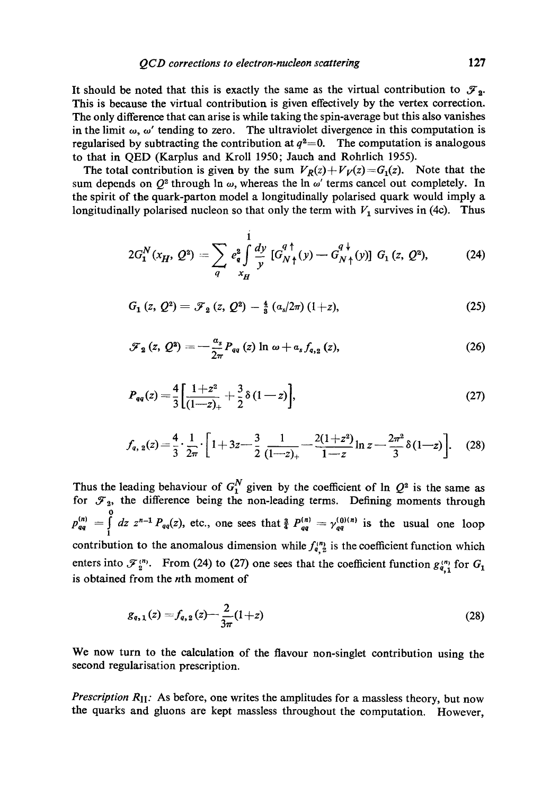It should be noted that this is exactly the same as the virtual contribution to  $\mathcal{F}_2$ . This is because the virtual contribution is given effectively by the vertex correction. The only difference that can arise is while taking the spin-average but this also vanishes in the limit  $\omega$ ,  $\omega'$  tending to zero. The ultraviolet divergence in this computation is regularised by subtracting the contribution at  $q^2=0$ . The computation is analogous to that in QED (Karplus and Kroll 1950; Jauch and Rohrlich 1955).

The total contribution is given by the sum  $V_R(z) + V_V(z) = G_1(z)$ . Note that the sum depends on  $Q^2$  through In  $\omega$ , whereas the In  $\omega'$  terms cancel out completely. In the spirit of the quark-parton model a longitudinally polarised quark would imply a longitudinally polarised nucleon so that only the term with  $V_1$  survives in (4c). Thus

$$
2G_1^N(x_H, Q^2) = \sum_q e_q^2 \int \frac{dy}{y} [G_{N\uparrow}^{q\uparrow}(y) - G_{N\uparrow}^{q\downarrow}(y)] G_1(z, Q^2), \tag{24}
$$

$$
G_1(z, Q^2) = \mathcal{F}_2(z, Q^2) - \frac{4}{3} (a_s/2\pi) (1+z), \qquad (25)
$$

$$
\mathcal{F}_{2}\left(z,\,\mathcal{Q}^{2}\right)=-\frac{a_{s}}{2\pi}P_{qq}\left(z\right)\ln\,\omega+a_{s}\,f_{q,2}\left(z\right),\tag{26}
$$

$$
P_{qq}(z) = \frac{4}{3} \left[ \frac{1+z^2}{(1-z)_+} + \frac{3}{2} \delta (1-z) \right],\tag{27}
$$

$$
f_{q, 2}(z) = \frac{4}{3} \cdot \frac{1}{2\pi} \cdot \left[ 1 + 3z - \frac{3}{2} \frac{1}{(1-z)_+} - \frac{2(1+z^2)}{1-z} \ln z - \frac{2\pi^2}{3} \delta(1-z) \right].
$$
 (28)

Thus the leading behaviour of  $G_1^N$  given by the coefficient of  $\ln Q^2$  is the same as for  $\mathcal{F}_2$ , the difference being the non-leading terms. Defining moments through  $p_{qq}^{(n)} = \int_1^0 dz \ z^{n-1} P_{qq}(z)$ , etc., one sees that  $\frac{3}{4} P_{qq}^{(n)} = \gamma_{qq}^{(0)(n)}$  is the usual one loop contribution to the anomalous dimension while  $f_{q,2}^{(n)}$  is the coefficient function which enters into  $\mathcal{F}_2^{(n)}$ . From (24) to (27) one sees that the coefficient function  $g_{q,1}^{(n)}$  for  $G_1$ is obtained from the nth moment of

$$
g_{q,1}(z) = f_{q,2}(z) - \frac{2}{3\pi}(1+z)
$$
\n(28)

We now turn to the calculation of the flavour non-singlet contribution using the second regularisation prescription.

*Prescription R<sub>II</sub>:* As before, one writes the amplitudes for a massless theory, but now the quarks and gluons are kept massless throughout the computation. However,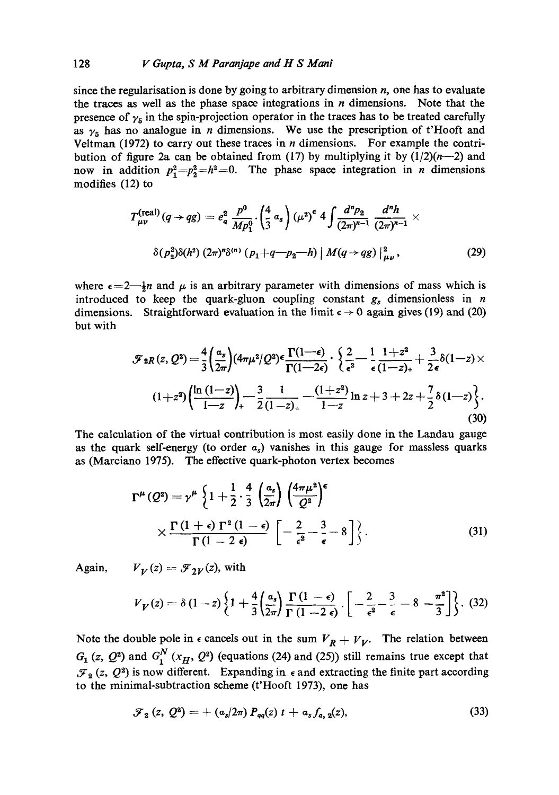since the regularisation is done by going to arbitrary dimension  $n$ , one has to evaluate the traces as well as the phase space integrations in  $n$  dimensions. Note that the presence of  $\gamma_5$  in the spin-projection operator in the traces has to be treated carefully as  $\gamma_5$  has no analogue in *n* dimensions. We use the prescription of t'Hooft and Veltman (1972) to carry out these traces in  $n$  dimensions. For example the contribution of figure 2a can be obtained from (17) by multiplying it by  $(1/2)(n-2)$  and now in addition  $p_1^2 = p_2^2 = h^2 = 0$ . The phase space integration in *n* dimensions modifies (12) to

$$
T_{\mu\nu}^{(\text{real})}(q \to qg) = e_q^2 \frac{p^0}{Mp_1^0} \cdot \left(\frac{4}{3} a_s\right) (\mu^2)^{\epsilon} 4 \int \frac{d^n p_2}{(2\pi)^{n-1}} \frac{d^n h}{(2\pi)^{n-1}} \times \delta(p_2^2) \delta(h^2) (2\pi)^n \delta^{(n)}(p_1 + q - p_2 - h) |M(q \to qg)|_{\mu\nu}^2, \tag{29}
$$

where  $\epsilon = 2 - \frac{1}{2}n$  and  $\mu$  is an arbitrary parameter with dimensions of mass which is introduced to keep the quark-gluon coupling constant  $g_s$  dimensionless in n dimensions. Straightforward evaluation in the limit  $\epsilon \to 0$  again gives (19) and (20) but with

$$
\mathcal{F}_{2R}(z,Q^2) = \frac{4}{3} \left( \frac{\alpha_s}{2\pi} \right) (4\pi \mu^2 / Q^2) \epsilon \frac{\Gamma(1-\epsilon)}{\Gamma(1-2\epsilon)} \cdot \left\{ \frac{2}{\epsilon^2} - \frac{1}{\epsilon} \frac{1+z^2}{(1-z)_+} + \frac{3}{2\epsilon} \delta(1-z) \times \left( 1+z^2 \right) \left( \frac{\ln(1-z)}{1-z} \right) \right\} - \frac{3}{2} \frac{1}{(1-z)_+} - \frac{(1+z^2)}{1-z} \ln z + 3 + 2z + \frac{7}{2} \delta(1-z) \left\}.
$$
\n(30)

The calculation of the virtual contribution is most easily done in the Landau gauge as the quark self-energy (to order  $\alpha_s$ ) vanishes in this gauge for massless quarks as (Marciano 1975). The effective quark-photon vertex becomes

$$
\Gamma^{\mu}(Q^2) = \gamma^{\mu} \left\{ 1 + \frac{1}{2} \cdot \frac{4}{3} \left( \frac{\alpha_s}{2\pi} \right) \left( \frac{4\pi\mu^2}{Q^2} \right)^{\epsilon} \right\}
$$
  
 
$$
\times \frac{\Gamma(1+\epsilon) \Gamma^2(1-\epsilon)}{\Gamma(1-2\epsilon)} \left[ -\frac{2}{\epsilon^2} - \frac{3}{\epsilon} - 8 \right] \left\}.
$$
 (31)

Again,  $V_V(z) = \mathcal{F}_{2V}(z)$ , with

$$
V_V(z) = \delta (1-z) \left\{ 1 + \frac{4}{3} \left( \frac{a_s}{2\pi} \right) \frac{\Gamma (1-\epsilon)}{\Gamma (1-2 \epsilon)} \cdot \left[ -\frac{2}{\epsilon^2} - \frac{3}{\epsilon} - 8 - \frac{\pi^2}{3} \right] \right\}. \tag{32}
$$

Note the double pole in  $\epsilon$  cancels out in the sum  $V_R + V_V$ . The relation between  $G_1$  (z,  $Q^2$ ) and  $G_1^N$  ( $x_H$ ,  $Q^2$ ) (equations (24) and (25)) still remains true except that  $\mathcal{F}_2$  (z,  $Q^2$ ) is now different. Expanding in  $\epsilon$  and extracting the finite part according to the minimal-subtraction scheme (t'Hooft 1973), one has

$$
\mathcal{F}_2(z, Q^2) = + (a_s/2\pi) P_{qq}(z) t + a_s f_{q, 2}(z), \qquad (33)
$$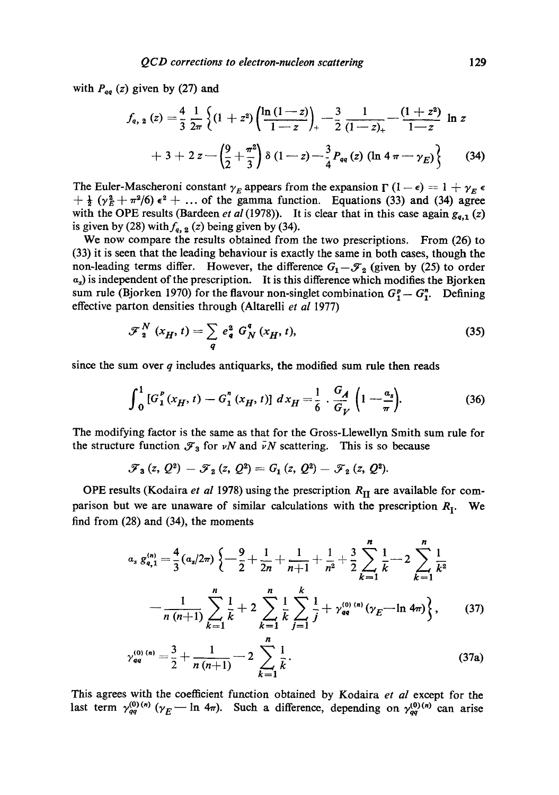with  $P_{qq}$  (z) given by (27) and

$$
f_{q, 2}(z) = \frac{4}{3} \frac{1}{2\pi} \left\{ (1 + z^2) \left( \frac{\ln(1-z)}{1-z} \right)_+ - \frac{3}{2} \frac{1}{(1-z)_+} - \frac{(1+z^2)}{1-z} \ln z + 3 + 2 z - \left( \frac{9}{2} + \frac{\pi^2}{3} \right) \delta (1-z) - \frac{3}{4} P_{qq}(z) \left( \ln 4 \pi - \gamma_E \right) \right\}
$$
(34)

The Euler-Mascheroni constant  $\gamma_E$  appears from the expansion  $\Gamma(1 - \epsilon) = 1 + \gamma_E \epsilon$  $+\frac{1}{2}(\gamma_E^2+\pi^2/6)\epsilon^2+\ldots$  of the gamma function. Equations (33) and (34) agree with the OPE results (Bardeen *et al* (1978)). It is clear that in this case again  $g_{q,1}(z)$ is given by (28) with  $f_{q, 2}$  (z) being given by (34).

We now compare the results obtained from the two prescriptions. From (26) to (33) it is seen that the leading behaviour is exactly the same in both cases, though the non-leading terms differ. However, the difference  $G_1-{\mathcal F}_2$  (given by (25) to order  $a_s$ ) is independent of the prescription. It is this difference which modifies the Bjorken sum rule (Bjorken 1970) for the flavour non-singlet combination  $G_1^p - G_1^p$ . Defining effective parton densities through (Altarelli *et al* 1977)

$$
\mathcal{F}_2^N(x_H, t) = \sum_q e_q^2 G_N^q(x_H, t), \qquad (35)
$$

since the sum over  $q$  includes antiquarks, the modified sum rule then reads

$$
\int_0^1 \left[G_1^{\,p}(x_H, t) - G_1^{\,n}(x_H, t)\right] \, dx_H = \frac{1}{6} \cdot \frac{G_A}{G_V} \left(1 - \frac{a_s}{\pi}\right). \tag{36}
$$

The modifying factor is the same as that for the Gross-Llewellyn Smith sum rule for the structure function  $\mathcal{F}_3$  for vN and  $\bar{v}N$  scattering. This is so because

$$
\mathscr{F}_3(z, Q^2) - \mathscr{F}_2(z, Q^2) = G_1(z, Q^2) - \mathscr{F}_2(z, Q^2).
$$

OPE results (Kodaira *et al* 1978) using the prescription  $R_{\text{II}}$  are available for comparison but we are unaware of similar calculations with the prescription  $R_I$ . We find from (28) and (34), the moments

$$
a_{s} g_{q,1}^{(n)} = \frac{4}{3} (a_{s}/2\pi) \left\{ -\frac{9}{2} + \frac{1}{2n} + \frac{1}{n+1} + \frac{1}{n^{2}} + \frac{3}{2} \sum_{k=1}^{n} \frac{1}{k} - 2 \sum_{k=1}^{n} \frac{1}{k^{2}} - \frac{1}{n(n+1)} \sum_{k=1}^{n} \frac{1}{k} + 2 \sum_{k=1}^{n} \frac{1}{k} \sum_{k=1}^{k} \frac{1}{j} + \gamma_{qq}^{(0) (n)} (\gamma_{E} - \ln 4\pi) \right\}, \qquad (37)
$$
  

$$
\gamma_{qq}^{(0) (n)} = \frac{3}{2} + \frac{1}{n(n+1)} - 2 \sum_{k=1}^{n} \frac{1}{k}.
$$

This agrees with the coefficient function obtained by Kodaira *et al* except for the last term  $\gamma_{qq}^{(0)(n)}$  ( $\gamma_E$  - In 4 $\pi$ ). Such a difference, depending on  $\gamma_{qq}^{(0)(n)}$  can arise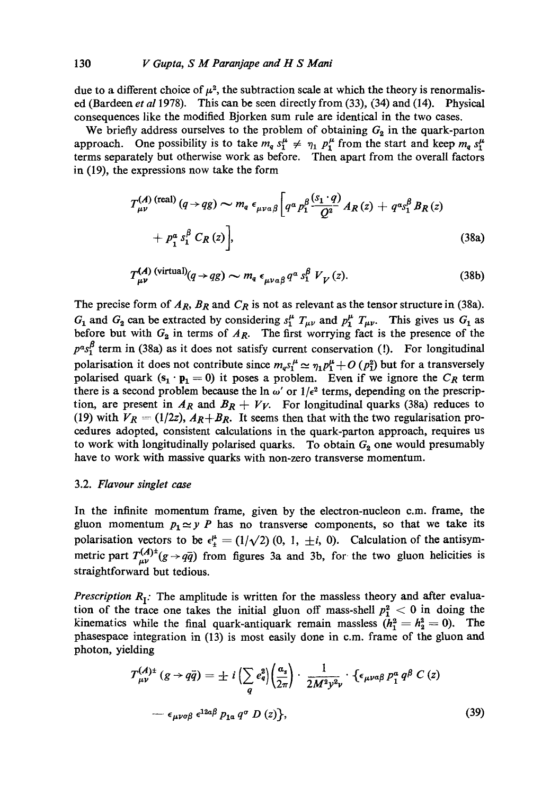due to a different choice of  $\mu^2$ , the subtraction scale at which the theory is renormalised (Bardeen *et a11978).* This can be seen directly from (33), (34) and (14). Physical consequences like the modified Bjorken sum rule are identical in the two cases.

We briefly address ourselves to the problem of obtaining  $G_2$  in the quark-parton approach. One possibility is to take  $m_q s_1^{\mu} \neq \eta_1 p_1^{\mu}$  from the start and keep  $m_q s_1^{\mu}$ terms separately but otherwise work as before. Then apart from the overall factors in (19), the expressions now take the form

$$
T_{\mu\nu}^{(A) \text{ (real)}}(q \to qg) \sim m_q \epsilon_{\mu\nu\alpha\beta} \left[ q^{\alpha} p_1^{\beta} \frac{(s_1 \cdot q)}{Q^2} A_R(z) + q^{\alpha} s_1^{\beta} B_R(z) + p_1^{\alpha} s_1^{\beta} C_R(z) \right],
$$
\n
$$
(38a)
$$

$$
T_{\mu\nu}^{(A) \text{ (virtual)}}(q \to qg) \sim m_q \epsilon_{\mu\nu a\beta} q^a s_1^\beta V_V(z). \tag{38b}
$$

The precise form of  $A_R$ ,  $B_R$  and  $C_R$  is not as relevant as the tensor structure in (38a).  $G_1$  and  $G_2$  can be extracted by considering  $s_1^{\mu} T_{\mu\nu}$  and  $p_1^{\mu} T_{\mu\nu}$ . This gives us  $G_1$  as before but with  $G_2$  in terms of  $A_R$ . The first worrying fact is the presence of the  $p^{\alpha} s_1^{\beta}$  term in (38a) as it does not satisfy current conservation (!). For longitudinal polarisation it does not contribute since  $m_q s_1^{\mu} \approx \eta_1 p_1^{\mu} + O(p_1^2)$  but for a transversely polarised quark  $(s_1 \cdot p_1 = 0)$  it poses a problem. Even if we ignore the  $C_R$  term there is a second problem because the  $\ln \omega'$  or  $1/\epsilon^2$  terms, depending on the prescription, are present in  $A_R$  and  $B_R + V_V$ . For longitudinal quarks (38a) reduces to (19) with  $V_R = (1/2z)$ ,  $A_R+B_R$ . It seems then that with the two regularisation procedures adopted, consistent calculations in the quark-parton approach, requires us to work with longitudinally polarised quarks. To obtain  $G_2$  one would presumably have to work with massive quarks with non-zero transverse momentum.

#### 3.2. *Flavour singlet ease*

In the infinite momentum frame, given by the electron-nucleon c.m. frame, the gluon momentum  $p_1 \simeq y$  P has no transverse components, so that we take its polarisation vectors to be  $\epsilon_{\pm}^{\mu} = (1/\sqrt{2}) (0, 1, \pm i, 0)$ . Calculation of the antisymmetric part  $T_{\mu\nu}^{(A)\dagger}(g\rightarrow q\bar{q})$  from figures 3a and 3b, for the two gluon helicities is straightforward but tedious.

*Prescription*  $R_I$ : The amplitude is written for the massless theory and after evaluation of the trace one takes the initial gluon off mass-shell  $p_1^2 < 0$  in doing the kinematics while the final quark-antiquark remain massless  $(h_1^2 = h_2^2 = 0)$ . The phasespace integration in (13) is most easily done in c.m. frame of the gluon and photon, yielding

$$
\mathcal{T}^{(A)\pm}_{\mu\nu}(g \to q\bar{q}) = \pm i \left( \sum_{q} e_{q}^{2} \right) \left( \frac{a_{s}}{2\pi} \right) \cdot \frac{1}{2M^{2}y^{2}\nu} \cdot \left\{ \epsilon_{\mu\nu\alpha\beta} p_{1}^{a} q^{\beta} C(z) \right.
$$

$$
- \epsilon_{\mu\nu\sigma\beta} \epsilon^{12\alpha\beta} p_{1\alpha} q^{\sigma} D(z) \}, \tag{39}
$$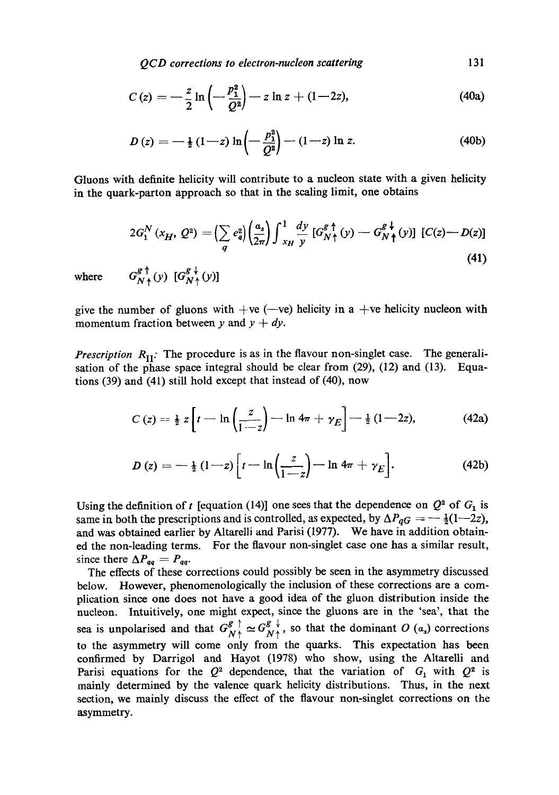*QCD corrections to electron-nucleon scattering 131* 

$$
C(z) = -\frac{z}{2} \ln \left( -\frac{p_1^2}{Q^2} \right) - z \ln z + (1 - 2z), \tag{40a}
$$

$$
D(z) = -\frac{1}{2}(1-z)\ln\left(-\frac{p_1^2}{Q^2}\right) - (1-z)\ln z.
$$
 (40b)

Gluons with definite helicity will contribute to a nucleon state with a given helicity in the quark-parton approach so that in the scaling limit, one obtains

$$
2G_1^N(x_H, Q^2) = \left(\sum_q e_q^2\right) \left(\frac{a_s}{2\pi}\right) \int_{x_H}^1 \frac{dy}{y} \left[G_N^g \uparrow (y) - G_N^g \downarrow (y)\right] \left[C(z) - D(z)\right]
$$
\n
$$
G_{N\uparrow}^g \uparrow (y) \left[G_{N\uparrow}^g(y)\right]
$$
\n(41)

where

give the number of gluons with  $+ve$  (--ve) helicity in a  $+ve$  helicity nucleon with momentum fraction between y and  $y + dy$ .

*Prescription*  $R_{II}$ : The procedure is as in the flavour non-singlet case. The generalisation of the phase space integral should be clear from (29), (12) and (13). Equations (39) and (41) still hold except that instead of (40), now

$$
C(z) = \frac{1}{2} z \left[ t - \ln \left( \frac{z}{1-z} \right) - \ln 4\pi + \gamma_E \right] - \frac{1}{2} (1-2z), \qquad (42a)
$$

$$
D(z) = -\frac{1}{2} (1-z) \left[ t - \ln \left( \frac{z}{1-z} \right) - \ln 4\pi + \gamma_E \right].
$$
 (42b)

Using the definition of t [equation (14)] one sees that the dependence on  $Q^2$  of  $G_1$  is same in both the prescriptions and is controlled, as expected, by  $\Delta P_{qG} = -\frac{1}{2}(1-2z)$ , and was obtained earlier by Altarelli and Parisi (1977). We have in addition obtained the non-leading terms. For the flavour non-singlet case one has a similar result, since there  $\Delta P_{qq} = P_{qq}$ .

The effects of these corrections could possibly be seen in the asymmetry discussed below. However, phenomenologicaily the inclusion of these corrections are a complication since one does not have a good idea of the gluon distribution inside the nucleon. Intuitively, one might expect, since the gluons are in the 'sea', that the sea is unpolarised and that  $G_{N}^g \uparrow \simeq G_{N}^g \downarrow$ , so that the dominant O (a<sub>s</sub>) corrections to the asymmetry will come only from the quarks. This expectation has been confirmed by Darrigol and Hayot (1978) who show, using the Altarelli and Parisi equations for the  $Q^2$  dependence, that the variation of  $G_1$  with  $Q^2$  is mainly determined by the valence quark helicity distributions. Thus, in the next section, we mainly discuss the effect of the flavour non-singlet corrections on the asymmetry.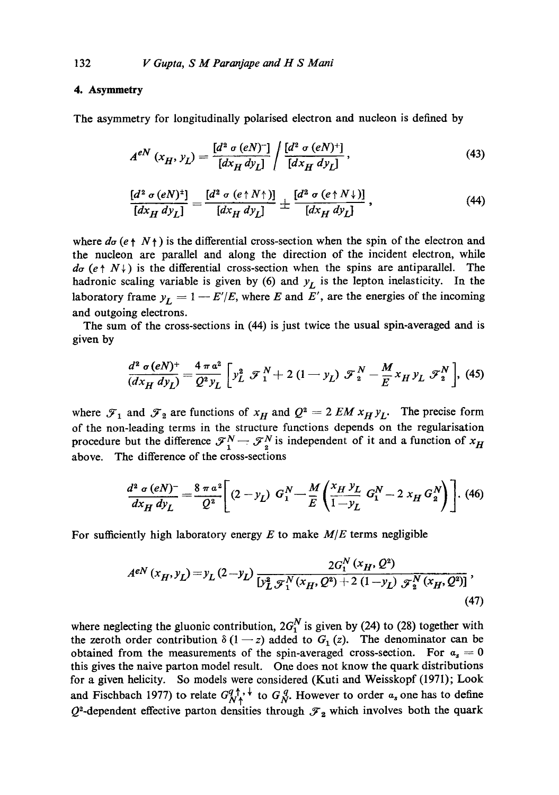# **4. Asymmetry**

The asymmetry for longitudinally polarised electron and nucleon is defined by

$$
A^{eN} (x_H, y_L) = \frac{[d^2 \sigma (eN)^{-}]}{[dx_H dy_L]} / \frac{[d^2 \sigma (eN)^{+}]}{[dx_H dy_L]},
$$
 (43)

$$
\frac{[d^2 \sigma (eN)^4]}{[dx_H dy_L]} = \frac{[d^2 \sigma (e \uparrow N \uparrow)]}{[dx_H dy_L]} \pm \frac{[d^2 \sigma (e \uparrow N \downarrow)]}{[dx_H dy_L]}, \qquad (44)
$$

where  $d\sigma$  (e  $\uparrow$  N $\uparrow$ ) is the differential cross-section when the spin of the electron and the nucleon are parallel and along the direction of the incident electron, while  $d\sigma$  (e  $\uparrow$  N \ ) is the differential cross-section when the spins are antiparallel. The hadronic scaling variable is given by  $(6)$  and  $y_L$  is the lepton inelasticity. In the laboratory frame  $y_L = 1 - E'/E$ , where E and E', are the energies of the incoming and outgoing electrons.

The sum of the cross-sections in  $(44)$  is just twice the usual spin-averaged and is given by

$$
\frac{d^2 \sigma (eN)^+}{(dx_H dy_L)} = \frac{4 \pi a^2}{Q^2 y_L} \left[ y_L^2 \mathcal{F}_1^N + 2 (1 - y_L) \mathcal{F}_2^N - \frac{M}{E} x_H y_L \mathcal{F}_2^N \right], \tag{45}
$$

where  $\mathcal{F}_1$  and  $\mathcal{F}_2$  are functions of  $x_H$  and  $Q^2 = 2 E M x_H y_L$ . The precise form of the non-leading terms in the structure functions depends on the regularisation procedure but the difference  $\mathcal{F}_1^N - \mathcal{F}_2^N$  is independent of it and a function of  $x_H$ above. The difference of the cross-sections

$$
\frac{d^2 \sigma (eN)^{-}}{dx_H dy_L} = \frac{8 \pi a^2}{Q^2} \left[ (2 - y_L) G_1^N - \frac{M}{E} \left( \frac{x_H y_L}{1 - y_L} G_1^N - 2 x_H G_2^N \right) \right].
$$
 (46)

For sufficiently high laboratory energy E to make *M/E* terms negligible

$$
A^{eN}(x_H, y_L) = y_L (2 - y_L) \frac{2G_1^N(x_H, Q^2)}{[y_L^2 \mathcal{F}_1^N(x_H, Q^2) + 2 (1 - y_L) \mathcal{F}_2^N(x_H, Q^2)]},
$$
\n(47)

where neglecting the gluonic contribution,  $2G_1^N$  is given by (24) to (28) together with the zeroth order contribution  $\delta(1-z)$  added to  $G_1(z)$ . The denominator can be obtained from the measurements of the spin-averaged cross-section. For  $a_s = 0$ this gives the naive parton model result. One does not know the quark distributions for a given helicity. So models were considered (Kuti and Weisskopf (1971); Look and Fischbach 1977) to relate  $G_{N}^{q \dagger}$ ,  $\downarrow$  to  $G_{N}^{q}$ . However to order  $\alpha_{s}$  one has to define  $Q^2$ -dependent effective parton densities through  $\mathcal{F}_2$  which involves both the quark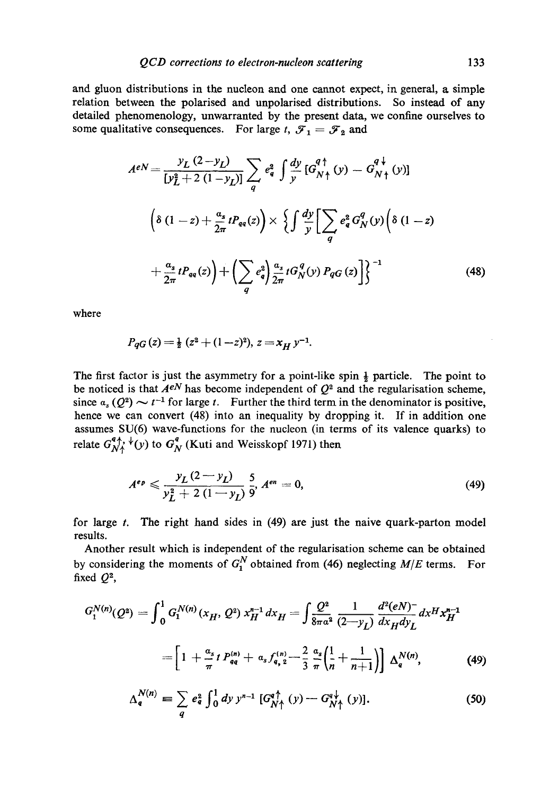and gluon distributions in the nucleon and one cannot expect, in general, a simple relation between the polarised and unpolarised distributions. So instead of any detailed phenomenology, unwarranted by the present data, we confine ourselves to some qualitative consequences. For large t,  $\mathcal{F}_1 = \mathcal{F}_2$  and

$$
A^{eN} = \frac{y_L (2 - y_L)}{[y_L^2 + 2 (1 - y_L)]} \sum_q e_q^2 \int \frac{dy}{y} [G_{N \uparrow}^{q \uparrow}(y) - G_{N \uparrow}^{q \downarrow}(y)]
$$
  

$$
\left( \delta (1 - z) + \frac{a_s}{2\pi} t P_{qq}(z) \right) \times \left\{ \int \frac{dy}{y} \left[ \sum_q e_q^2 G_N^q(y) \left( \delta (1 - z) + \frac{a_s}{2\pi} t P_{qq}(z) \right) + \left( \sum_q e_q^2 \right) \frac{a_s}{2\pi} t G_N^q(y) P_{qG}(z) \right] \right\}^{-1}
$$
(48)

where

$$
P_{qG}(z) = \frac{1}{2} (z^2 + (1-z)^2), z = x_H y^{-1}.
$$

The first factor is just the asymmetry for a point-like spin  $\frac{1}{2}$  particle. The point to be noticed is that  $A^{eN}$  has become independent of  $Q^2$  and the regularisation scheme, since  $a_s (Q^2) \sim t^{-1}$  for large t. Further the third term in the denominator is positive, hence we can convert (48) into an inequality by dropping it. If in addition one assumes SU(6) wave-functions for the nucleon (in terms of its valence quarks) to relate  $G_{N\uparrow}^{4\uparrow}$ ,  $\downarrow$ (y) to  $G_N^4$  (Kuti and Weisskopf 1971) then

$$
A^{ep} \leqslant \frac{y_L (2 - y_L)}{y_L^2 + 2 (1 - y_L)} \frac{5}{9}, A^{en} = 0,
$$
\n(49)

for large  $t$ . The right hand sides in  $(49)$  are just the naive quark-parton model results.

Another result which is independent of the regularisation scheme can be obtained by considering the moments of  $G_1^N$  obtained from (46) neglecting  $M/E$  terms. For fixed  $Q^2$ ,

$$
G_1^{N(n)}(Q^2) = \int_0^1 G_1^{N(n)}(x_H, Q^2) x_H^{n-1} dx_H = \int \frac{Q^2}{8\pi a^2} \frac{1}{(2-y_L)} \frac{d^2(eN)^-}{dx_H dy_L} dx^H x_H^{n-1}
$$

$$
= \left[1 + \frac{a_s}{\pi} t P_{qq}^{(n)} + a_s f_{q,2}^{(n)} - \frac{2}{3} \frac{a_s}{\pi} \left(\frac{1}{n} + \frac{1}{n+1}\right)\right] \Delta_q^{N(n)}, \tag{49}
$$

$$
\Delta_q^{N(n)} \equiv \sum_q e_q^2 \int_0^1 dy \, y^{n-1} \, \left[ G_{N\uparrow}^{q\uparrow} \left( y \right) - G_{N\uparrow}^{q\downarrow} \left( y \right) \right]. \tag{50}
$$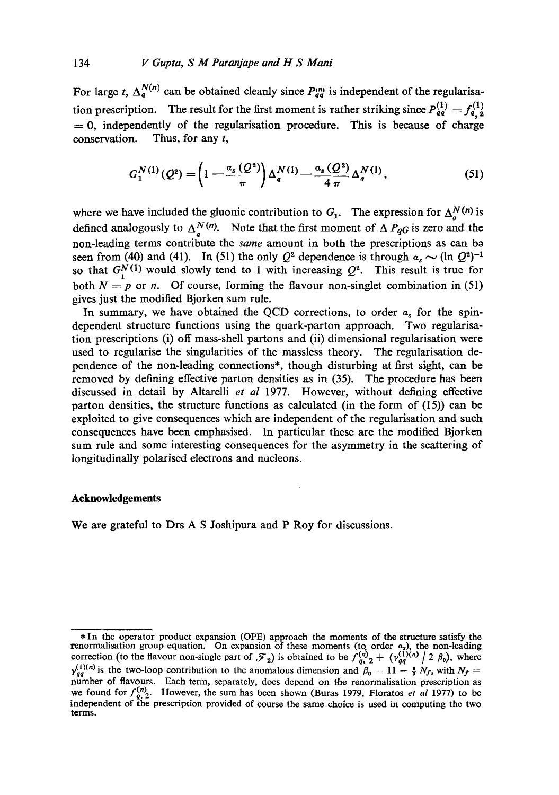For large t,  $\Delta_q^{N(n)}$  can be obtained cleanly since  $P_{qq}^{(n)}$  is independent of the regularisation prescription. The result for the first moment is rather striking since  $P_{qq}^{(1)} = f_{q,2}^{(1)}$  $= 0$ , independently of the regularisation procedure. This is because of charge conservation. Thus, for any  $t$ ,

$$
G_1^{N(1)}(Q^2) = \left(1 - \frac{a_s(Q^2)}{\pi}\right) \Delta_q^{N(1)} - \frac{a_s(Q^2)}{4 \pi} \Delta_q^{N(1)},
$$
\n(51)

where we have included the gluonic contribution to  $G_1$ . The expression for  $\Delta_n^N$ <sup>(n)</sup> is defined analogously to  $\Delta_q^{N(N)}$ . Note that the first moment of  $\Delta P_{qG}$  is zero and the non-leading terms contribute the *same* amount in both the prescriptions as can ba seen from (40) and (41). In (51) the only  $Q^2$  dependence is through  $a_s \sim (\ln Q^2)^{-1}$ so that  $G_1^N(1)$  would slowly tend to 1 with increasing  $Q^2$ . This result is true for both  $N = p$  or *n*. Of course, forming the flavour non-singlet combination in (51) gives just the modified Bjorken sum rule.

In summary, we have obtained the OCD corrections, to order  $\alpha$ , for the spindependent structure functions using the quark-parton approach. Two regularisation prescriptions (i) off mass-sheU partons and (ii) dimensional regularisation were used to regularise the singularities of the massless theory. The regularisation dependence of the non-leading connections\*, though disturbing at first sight, can be removed by defining effective parton densities as in (35). The procedure has been discussed in detail by Altarelli *et al* 1977. However, without defining effective parton densities, the structure functions as calculated (in the form of (15)) can be exploited to give consequences which are independent of the regularisation and such consequences have been emphasised. In particular these are the modified Bjorken sum rule and some interesting consequences for the asymmetry in the scattering of longitudinally polarised electrons and nucleons.

#### **Acknowledgements**

We are grateful to Drs A S Joshipura and P Roy for discussions.

<sup>\*</sup> In the operator product expansion (OPE) approach the moments of the structure satisfy the renormalisation group equation. On expansion of these moments (to order  $\alpha_s$ ), the non-leading correction (to the flavour non-single part of  $\mathcal{F}_2$ ) is obtained to be  $f_{q_2}^{(n)} \neq \gamma_{qq}^{(1)(n)}/2 \beta_0$ , where  $\gamma_{qq}^{(1)(n)}$  is the two-loop contribution to the anomalous dimension and  $\beta_0 = 11 - \frac{2}{3} N_f$ , with  $N_f =$ number of flavours. Each term, separately, does depend on the renormalisation prescription as we found for  $f_{q, 2}^{(n)}$ . However, the sum has been shown (Buras 1979, Floratos *et al* 1977) to be independent of the prescription provided of course the same choice is used in computing the two terms.